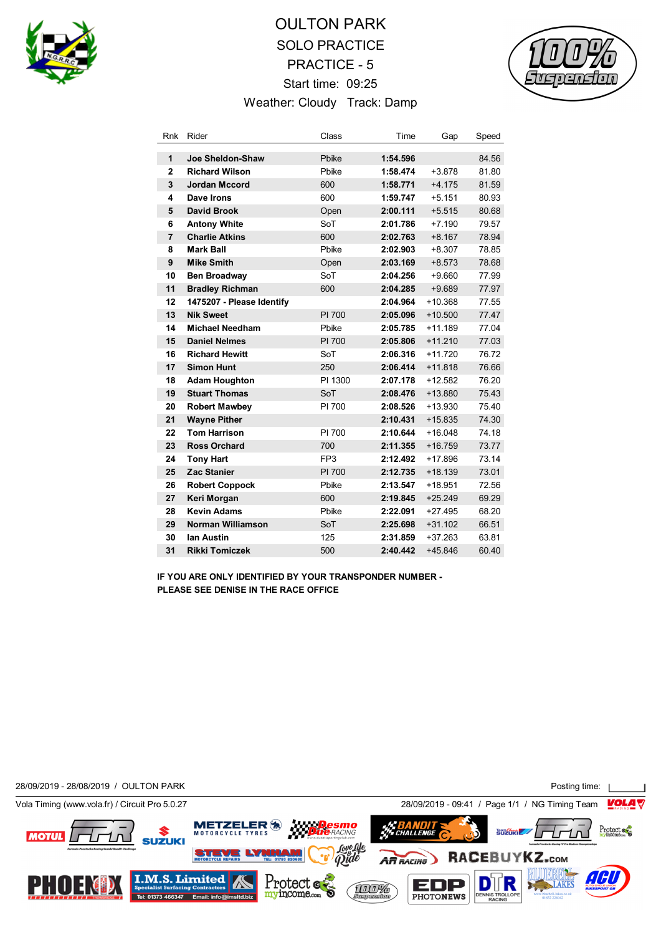

# OULTON PARK SOLO PRACTICE PRACTICE - 5 Start time: 09:25 Weather: Cloudy Track: Damp



| Rnk            | Rider                     | Class           | Time     | Gap       | Speed |
|----------------|---------------------------|-----------------|----------|-----------|-------|
| 1              | Joe Sheldon-Shaw          | Pbike           | 1:54.596 |           | 84.56 |
| $\overline{2}$ | <b>Richard Wilson</b>     | Pbike           | 1:58.474 | $+3.878$  | 81.80 |
| 3              | <b>Jordan Mccord</b>      | 600             | 1:58.771 | $+4.175$  | 81.59 |
| 4              | Dave Irons                | 600             | 1:59.747 | $+5.151$  | 80.93 |
| 5              | <b>David Brook</b>        | Open            | 2:00.111 | $+5.515$  | 80.68 |
| 6              | <b>Antony White</b>       | SoT             | 2:01.786 | $+7.190$  | 79.57 |
| $\overline{7}$ | <b>Charlie Atkins</b>     | 600             | 2:02.763 | $+8.167$  | 78.94 |
| 8              | <b>Mark Ball</b>          | Pbike           | 2:02.903 | $+8.307$  | 78.85 |
| 9              | <b>Mike Smith</b>         | Open            | 2:03.169 | $+8.573$  | 78.68 |
| 10             | Ben Broadway              | SoT             | 2:04.256 | $+9.660$  | 77.99 |
| 11             | <b>Bradley Richman</b>    | 600             | 2:04.285 | $+9.689$  | 77.97 |
| 12             | 1475207 - Please Identify |                 | 2:04.964 | $+10.368$ | 77.55 |
| 13             | <b>Nik Sweet</b>          | PI 700          | 2:05.096 | $+10.500$ | 77.47 |
| 14             | <b>Michael Needham</b>    | Pbike           | 2:05.785 | $+11.189$ | 77.04 |
| 15             | <b>Daniel Nelmes</b>      | PI 700          | 2:05.806 | $+11.210$ | 77.03 |
| 16             | <b>Richard Hewitt</b>     | SoT             | 2:06.316 | $+11.720$ | 76.72 |
| 17             | <b>Simon Hunt</b>         | 250             | 2:06.414 | $+11.818$ | 76.66 |
| 18             | <b>Adam Houghton</b>      | PI 1300         | 2:07.178 | $+12.582$ | 76.20 |
| 19             | <b>Stuart Thomas</b>      | SoT             | 2:08.476 | $+13.880$ | 75.43 |
| 20             | <b>Robert Mawbey</b>      | PI 700          | 2:08.526 | $+13.930$ | 75.40 |
| 21             | <b>Wayne Pither</b>       |                 | 2:10.431 | $+15.835$ | 74.30 |
| 22             | <b>Tom Harrison</b>       | PI 700          | 2:10.644 | $+16.048$ | 74.18 |
| 23             | <b>Ross Orchard</b>       | 700             | 2:11.355 | $+16.759$ | 73.77 |
| 24             | <b>Tony Hart</b>          | FP <sub>3</sub> | 2:12.492 | $+17.896$ | 73.14 |
| 25             | <b>Zac Stanier</b>        | PI 700          | 2:12.735 | $+18.139$ | 73.01 |
| 26             | <b>Robert Coppock</b>     | Pbike           | 2:13.547 | $+18.951$ | 72.56 |
| 27             | Keri Morgan               | 600             | 2:19.845 | $+25.249$ | 69.29 |
| 28             | <b>Kevin Adams</b>        | Pbike           | 2:22.091 | $+27.495$ | 68.20 |
| 29             | <b>Norman Williamson</b>  | SoT             | 2:25.698 | $+31.102$ | 66.51 |
| 30             | lan Austin                | 125             | 2:31.859 | $+37.263$ | 63.81 |
| 31             | <b>Rikki Tomiczek</b>     | 500             | 2:40.442 | $+45.846$ | 60.40 |

**IF YOU ARE ONLY IDENTIFIED BY YOUR TRANSPONDER NUMBER - PLEASE SEE DENISE IN THE RACE OFFICE**